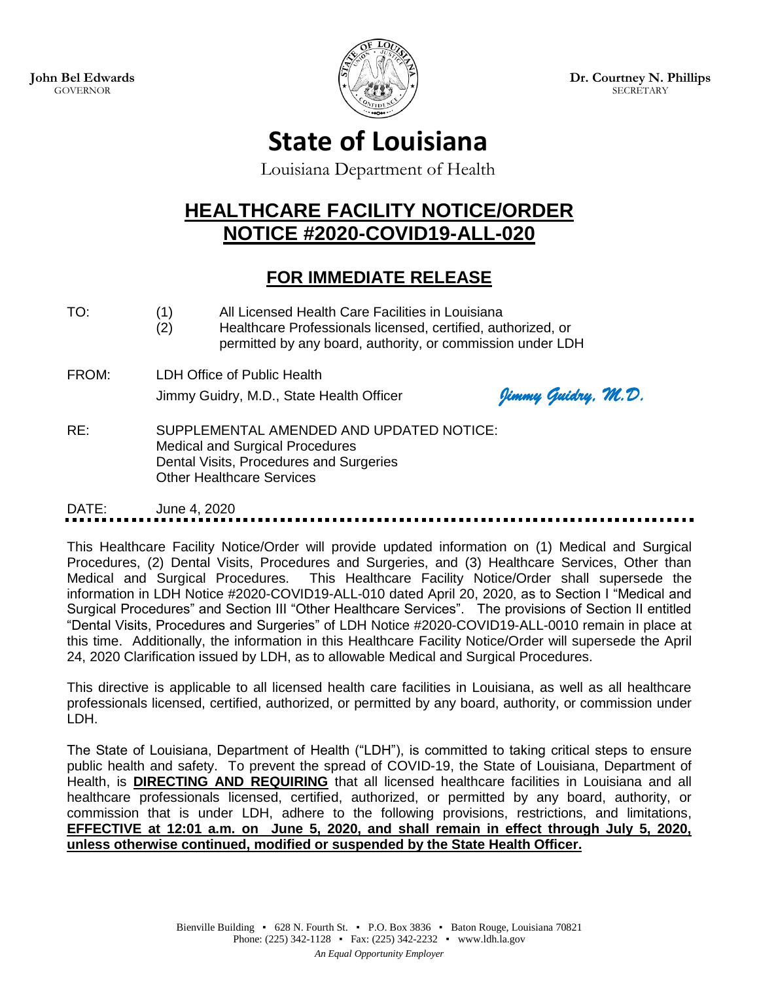**John Bel Edwards** GOVERNOR



**Dr. Courtney N. Phillips SECRETARY** 

# **State of Louisiana**

Louisiana Department of Health

# **HEALTHCARE FACILITY NOTICE/ORDER NOTICE #2020-COVID19-ALL-020**

# **FOR IMMEDIATE RELEASE**

- TO: (1) All Licensed Health Care Facilities in Louisiana
	- (2) Healthcare Professionals licensed, certified, authorized, or permitted by any board, authority, or commission under LDH
- FROM: LDH Office of Public Health Jimmy Guidry, M.D., State Health Officer *Jimmy Guidry, M.D.*

RE: SUPPLEMENTAL AMENDED AND UPDATED NOTICE: Medical and Surgical Procedures Dental Visits, Procedures and Surgeries Other Healthcare Services

DATE: June 4, 2020

This Healthcare Facility Notice/Order will provide updated information on (1) Medical and Surgical Procedures, (2) Dental Visits, Procedures and Surgeries, and (3) Healthcare Services, Other than Medical and Surgical Procedures. This Healthcare Facility Notice/Order shall supersede the information in LDH Notice #2020-COVID19-ALL-010 dated April 20, 2020, as to Section I "Medical and Surgical Procedures" and Section III "Other Healthcare Services". The provisions of Section II entitled "Dental Visits, Procedures and Surgeries" of LDH Notice #2020-COVID19-ALL-0010 remain in place at this time. Additionally, the information in this Healthcare Facility Notice/Order will supersede the April 24, 2020 Clarification issued by LDH, as to allowable Medical and Surgical Procedures.

This directive is applicable to all licensed health care facilities in Louisiana, as well as all healthcare professionals licensed, certified, authorized, or permitted by any board, authority, or commission under LDH.

The State of Louisiana, Department of Health ("LDH"), is committed to taking critical steps to ensure public health and safety. To prevent the spread of COVID-19, the State of Louisiana, Department of Health, is **DIRECTING AND REQUIRING** that all licensed healthcare facilities in Louisiana and all healthcare professionals licensed, certified, authorized, or permitted by any board, authority, or commission that is under LDH, adhere to the following provisions, restrictions, and limitations, **EFFECTIVE at 12:01 a.m. on June 5, 2020, and shall remain in effect through July 5, 2020, unless otherwise continued, modified or suspended by the State Health Officer.**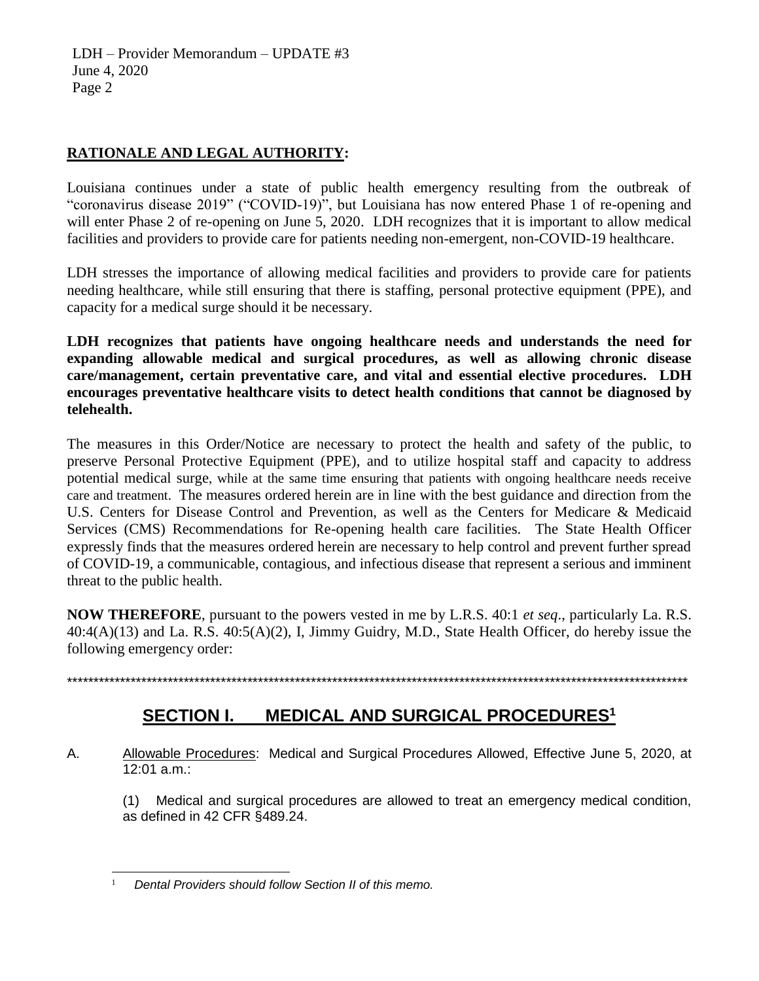LDH – Provider Memorandum – UPDATE #3 June 4, 2020 Page 2

#### **RATIONALE AND LEGAL AUTHORITY:**

Louisiana continues under a state of public health emergency resulting from the outbreak of "coronavirus disease 2019" ("COVID-19)", but Louisiana has now entered Phase 1 of re-opening and will enter Phase 2 of re-opening on June 5, 2020. LDH recognizes that it is important to allow medical facilities and providers to provide care for patients needing non-emergent, non-COVID-19 healthcare.

LDH stresses the importance of allowing medical facilities and providers to provide care for patients needing healthcare, while still ensuring that there is staffing, personal protective equipment (PPE), and capacity for a medical surge should it be necessary.

**LDH recognizes that patients have ongoing healthcare needs and understands the need for expanding allowable medical and surgical procedures, as well as allowing chronic disease care/management, certain preventative care, and vital and essential elective procedures. LDH encourages preventative healthcare visits to detect health conditions that cannot be diagnosed by telehealth.** 

The measures in this Order/Notice are necessary to protect the health and safety of the public, to preserve Personal Protective Equipment (PPE), and to utilize hospital staff and capacity to address potential medical surge, while at the same time ensuring that patients with ongoing healthcare needs receive care and treatment. The measures ordered herein are in line with the best guidance and direction from the U.S. Centers for Disease Control and Prevention, as well as the Centers for Medicare & Medicaid Services (CMS) Recommendations for Re-opening health care facilities. The State Health Officer expressly finds that the measures ordered herein are necessary to help control and prevent further spread of COVID-19, a communicable, contagious, and infectious disease that represent a serious and imminent threat to the public health.

**NOW THEREFORE**, pursuant to the powers vested in me by L.R.S. 40:1 *et seq*., particularly La. R.S. 40:4(A)(13) and La. R.S. 40:5(A)(2), I, Jimmy Guidry, M.D., State Health Officer, do hereby issue the following emergency order:

\*\*\*\*\*\*\*\*\*\*\*\*\*\*\*\*\*\*\*\*\*\*\*\*\*\*\*\*\*\*\*\*\*\*\*\*\*\*\*\*\*\*\*\*\*\*\*\*\*\*\*\*\*\*\*\*\*\*\*\*\*\*\*\*\*\*\*\*\*\*\*\*\*\*\*\*\*\*\*\*\*\*\*\*\*\*\*\*\*\*\*\*\*\*\*\*\*\*\*\*\*\*\*\*\*\*\*\*\*\*\*\*\*\*\*\*\*

### **SECTION I. MEDICAL AND SURGICAL PROCEDURES<sup>1</sup>**

A. Allowable Procedures: Medical and Surgical Procedures Allowed, Effective June 5, 2020, at 12:01 a.m.:

(1) Medical and surgical procedures are allowed to treat an emergency medical condition, as defined in 42 CFR §489.24.

 $\overline{a}$ 1 *Dental Providers should follow Section II of this memo.*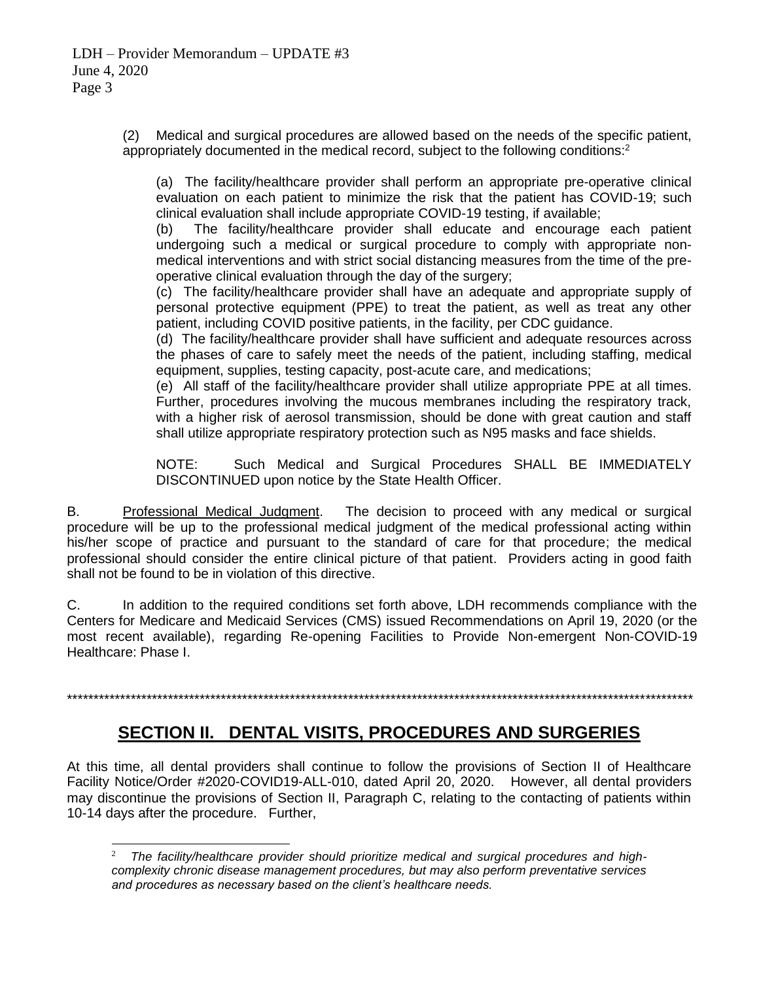$\overline{a}$ 

(2) Medical and surgical procedures are allowed based on the needs of the specific patient, appropriately documented in the medical record, subject to the following conditions: $2$ 

(a) The facility/healthcare provider shall perform an appropriate pre-operative clinical evaluation on each patient to minimize the risk that the patient has COVID-19; such clinical evaluation shall include appropriate COVID-19 testing, if available;

(b) The facility/healthcare provider shall educate and encourage each patient undergoing such a medical or surgical procedure to comply with appropriate nonmedical interventions and with strict social distancing measures from the time of the preoperative clinical evaluation through the day of the surgery;

(c) The facility/healthcare provider shall have an adequate and appropriate supply of personal protective equipment (PPE) to treat the patient, as well as treat any other patient, including COVID positive patients, in the facility, per CDC guidance.

(d) The facility/healthcare provider shall have sufficient and adequate resources across the phases of care to safely meet the needs of the patient, including staffing, medical equipment, supplies, testing capacity, post-acute care, and medications;

(e) All staff of the facility/healthcare provider shall utilize appropriate PPE at all times. Further, procedures involving the mucous membranes including the respiratory track, with a higher risk of aerosol transmission, should be done with great caution and staff shall utilize appropriate respiratory protection such as N95 masks and face shields.

NOTE: Such Medical and Surgical Procedures SHALL BE IMMEDIATELY DISCONTINUED upon notice by the State Health Officer.

B. Professional Medical Judgment. The decision to proceed with any medical or surgical procedure will be up to the professional medical judgment of the medical professional acting within his/her scope of practice and pursuant to the standard of care for that procedure; the medical professional should consider the entire clinical picture of that patient. Providers acting in good faith shall not be found to be in violation of this directive.

C. In addition to the required conditions set forth above, LDH recommends compliance with the Centers for Medicare and Medicaid Services (CMS) issued Recommendations on April 19, 2020 (or the most recent available), regarding Re-opening Facilities to Provide Non-emergent Non-COVID-19 Healthcare: Phase I.

\*\*\*\*\*\*\*\*\*\*\*\*\*\*\*\*\*\*\*\*\*\*\*\*\*\*\*\*\*\*\*\*\*\*\*\*\*\*\*\*\*\*\*\*\*\*\*\*\*\*\*\*\*\*\*\*\*\*\*\*\*\*\*\*\*\*\*\*\*\*\*\*\*\*\*\*\*\*\*\*\*\*\*\*\*\*\*\*\*\*\*\*\*\*\*\*\*\*\*\*\*\*\*\*\*\*\*\*\*\*\*\*\*\*\*\*\*\*

### **SECTION II. DENTAL VISITS, PROCEDURES AND SURGERIES**

At this time, all dental providers shall continue to follow the provisions of Section II of Healthcare Facility Notice/Order #2020-COVID19-ALL-010, dated April 20, 2020. However, all dental providers may discontinue the provisions of Section II, Paragraph C, relating to the contacting of patients within 10-14 days after the procedure. Further,

<sup>2</sup> *The facility/healthcare provider should prioritize medical and surgical procedures and highcomplexity chronic disease management procedures, but may also perform preventative services and procedures as necessary based on the client's healthcare needs.*